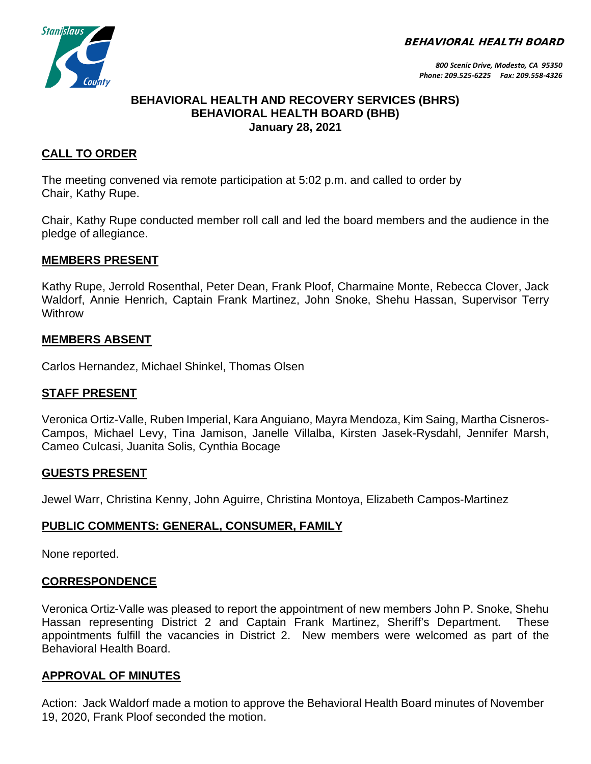BEHAVIORAL HEALTH BOARD



## **BEHAVIORAL HEALTH AND RECOVERY SERVICES (BHRS) BEHAVIORAL HEALTH BOARD (BHB) January 28, 2021**

# **CALL TO ORDER**

The meeting convened via remote participation at 5:02 p.m. and called to order by Chair, Kathy Rupe.

Chair, Kathy Rupe conducted member roll call and led the board members and the audience in the pledge of allegiance.

### **MEMBERS PRESENT**

Kathy Rupe, Jerrold Rosenthal, Peter Dean, Frank Ploof, Charmaine Monte, Rebecca Clover, Jack Waldorf, Annie Henrich, Captain Frank Martinez, John Snoke, Shehu Hassan, Supervisor Terry **Withrow** 

### **MEMBERS ABSENT**

Carlos Hernandez, Michael Shinkel, Thomas Olsen

### **STAFF PRESENT**

Veronica Ortiz-Valle, Ruben Imperial, Kara Anguiano, Mayra Mendoza, Kim Saing, Martha Cisneros-Campos, Michael Levy, Tina Jamison, Janelle Villalba, Kirsten Jasek-Rysdahl, Jennifer Marsh, Cameo Culcasi, Juanita Solis, Cynthia Bocage

### **GUESTS PRESENT**

Jewel Warr, Christina Kenny, John Aguirre, Christina Montoya, Elizabeth Campos-Martinez

### **PUBLIC COMMENTS: GENERAL, CONSUMER, FAMILY**

None reported.

### **CORRESPONDENCE**

Veronica Ortiz-Valle was pleased to report the appointment of new members John P. Snoke, Shehu Hassan representing District 2 and Captain Frank Martinez, Sheriff's Department. These appointments fulfill the vacancies in District 2. New members were welcomed as part of the Behavioral Health Board.

### **APPROVAL OF MINUTES**

Action: Jack Waldorf made a motion to approve the Behavioral Health Board minutes of November 19, 2020, Frank Ploof seconded the motion.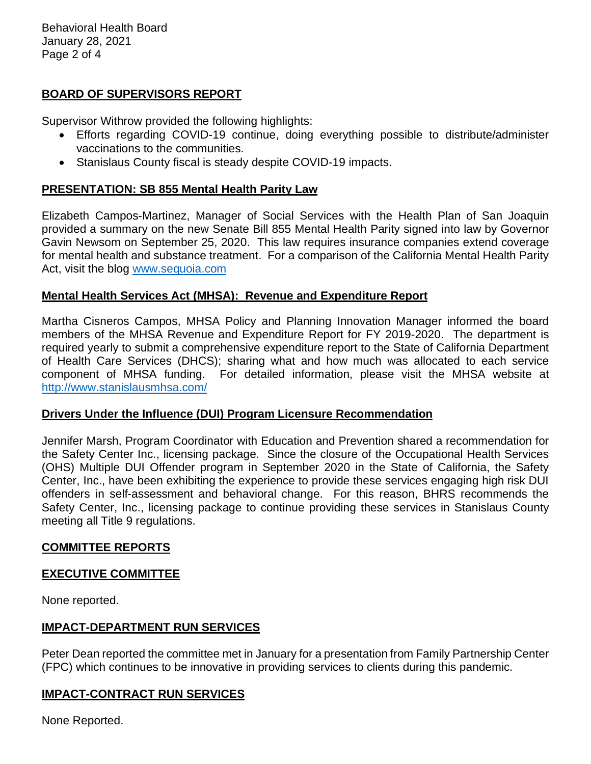Behavioral Health Board January 28, 2021 Page 2 of 4

## **BOARD OF SUPERVISORS REPORT**

Supervisor Withrow provided the following highlights:

- Efforts regarding COVID-19 continue, doing everything possible to distribute/administer vaccinations to the communities.
- Stanislaus County fiscal is steady despite COVID-19 impacts.

### **PRESENTATION: SB 855 Mental Health Parity Law**

Elizabeth Campos-Martinez, Manager of Social Services with the Health Plan of San Joaquin provided a summary on the new Senate Bill 855 Mental Health Parity signed into law by Governor Gavin Newsom on September 25, 2020. This law requires insurance companies extend coverage for mental health and substance treatment. For a comparison of the California Mental Health Parity Act, visit the blog [www.sequoia.com](https://www.sequoia.com/2020/10/california-requires-insurers-to-provide-more-extensive-mental-health-coverage/)

### **Mental Health Services Act (MHSA): Revenue and Expenditure Report**

Martha Cisneros Campos, MHSA Policy and Planning Innovation Manager informed the board members of the MHSA Revenue and Expenditure Report for FY 2019-2020. The department is required yearly to submit a comprehensive expenditure report to the State of California Department of Health Care Services (DHCS); sharing what and how much was allocated to each service component of MHSA funding. For detailed information, please visit the MHSA website at <http://www.stanislausmhsa.com/>

### **Drivers Under the Influence (DUI) Program Licensure Recommendation**

Jennifer Marsh, Program Coordinator with Education and Prevention shared a recommendation for the Safety Center Inc., licensing package. Since the closure of the Occupational Health Services (OHS) Multiple DUI Offender program in September 2020 in the State of California, the Safety Center, Inc., have been exhibiting the experience to provide these services engaging high risk DUI offenders in self-assessment and behavioral change. For this reason, BHRS recommends the Safety Center, Inc., licensing package to continue providing these services in Stanislaus County meeting all Title 9 regulations.

### **COMMITTEE REPORTS**

### **EXECUTIVE COMMITTEE**

None reported.

### **IMPACT-DEPARTMENT RUN SERVICES**

Peter Dean reported the committee met in January for a presentation from Family Partnership Center (FPC) which continues to be innovative in providing services to clients during this pandemic.

### **IMPACT-CONTRACT RUN SERVICES**

None Reported.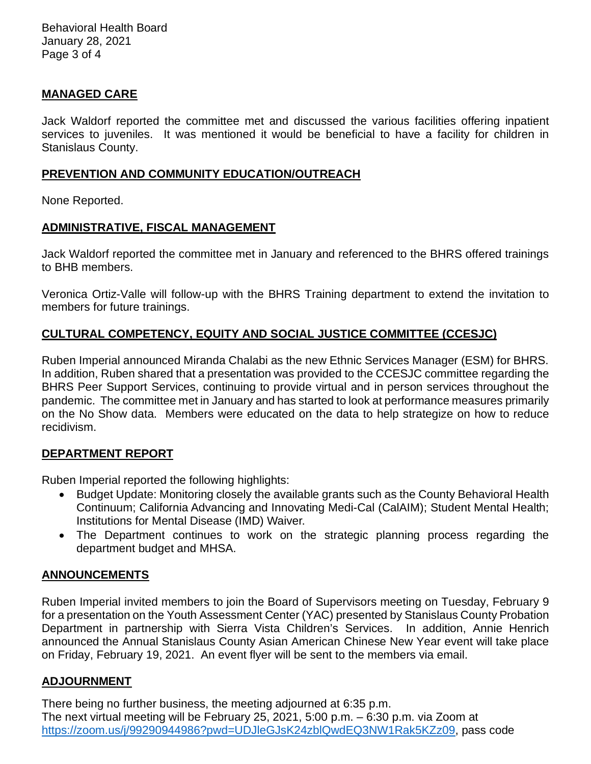Behavioral Health Board January 28, 2021 Page 3 of 4

### **MANAGED CARE**

Jack Waldorf reported the committee met and discussed the various facilities offering inpatient services to juveniles. It was mentioned it would be beneficial to have a facility for children in Stanislaus County.

## **PREVENTION AND COMMUNITY EDUCATION/OUTREACH**

None Reported.

## **ADMINISTRATIVE, FISCAL MANAGEMENT**

Jack Waldorf reported the committee met in January and referenced to the BHRS offered trainings to BHB members.

Veronica Ortiz-Valle will follow-up with the BHRS Training department to extend the invitation to members for future trainings.

# **CULTURAL COMPETENCY, EQUITY AND SOCIAL JUSTICE COMMITTEE (CCESJC)**

Ruben Imperial announced Miranda Chalabi as the new Ethnic Services Manager (ESM) for BHRS. In addition, Ruben shared that a presentation was provided to the CCESJC committee regarding the BHRS Peer Support Services, continuing to provide virtual and in person services throughout the pandemic. The committee met in January and has started to look at performance measures primarily on the No Show data. Members were educated on the data to help strategize on how to reduce recidivism.

### **DEPARTMENT REPORT**

Ruben Imperial reported the following highlights:

- Budget Update: Monitoring closely the available grants such as the County Behavioral Health Continuum; California Advancing and Innovating Medi-Cal (CalAIM); Student Mental Health; Institutions for Mental Disease (IMD) Waiver.
- The Department continues to work on the strategic planning process regarding the department budget and MHSA.

# **ANNOUNCEMENTS**

Ruben Imperial invited members to join the Board of Supervisors meeting on Tuesday, February 9 for a presentation on the Youth Assessment Center (YAC) presented by Stanislaus County Probation Department in partnership with Sierra Vista Children's Services. In addition, Annie Henrich announced the Annual Stanislaus County Asian American Chinese New Year event will take place on Friday, February 19, 2021. An event flyer will be sent to the members via email.

### **ADJOURNMENT**

There being no further business, the meeting adjourned at 6:35 p.m. The next virtual meeting will be February 25, 2021, 5:00 p.m. – 6:30 p.m. via Zoom at [https://zoom.us/j/99290944986?pwd=UDJleGJsK24zblQwdEQ3NW1Rak5KZz09,](https://zoom.us/j/99290944986?pwd=UDJleGJsK24zblQwdEQ3NW1Rak5KZz09) pass code